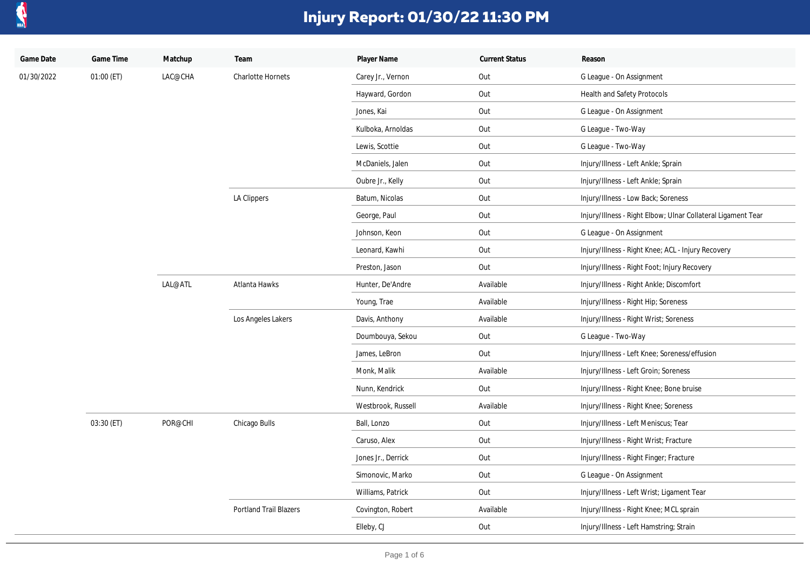

| Game Date  | Game Time    | Matchup | Team                          | Player Name        | <b>Current Status</b> | Reason                                                       |
|------------|--------------|---------|-------------------------------|--------------------|-----------------------|--------------------------------------------------------------|
| 01/30/2022 | $01:00$ (ET) | LAC@CHA | <b>Charlotte Hornets</b>      | Carey Jr., Vernon  | Out                   | G League - On Assignment                                     |
|            |              |         |                               | Hayward, Gordon    | Out                   | Health and Safety Protocols                                  |
|            |              |         |                               | Jones, Kai         | Out                   | G League - On Assignment                                     |
|            |              |         |                               | Kulboka, Arnoldas  | Out                   | G League - Two-Way                                           |
|            |              |         |                               | Lewis, Scottie     | Out                   | G League - Two-Way                                           |
|            |              |         |                               | McDaniels, Jalen   | Out                   | Injury/Illness - Left Ankle; Sprain                          |
|            |              |         |                               | Oubre Jr., Kelly   | Out                   | Injury/Illness - Left Ankle; Sprain                          |
|            |              |         | LA Clippers                   | Batum, Nicolas     | Out                   | Injury/Illness - Low Back; Soreness                          |
|            |              |         |                               | George, Paul       | Out                   | Injury/Illness - Right Elbow; Ulnar Collateral Ligament Tear |
|            |              |         |                               | Johnson, Keon      | Out                   | G League - On Assignment                                     |
|            |              |         |                               | Leonard, Kawhi     | Out                   | Injury/Illness - Right Knee; ACL - Injury Recovery           |
|            |              |         |                               | Preston, Jason     | Out                   | Injury/Illness - Right Foot; Injury Recovery                 |
|            |              | LAL@ATL | Atlanta Hawks                 | Hunter, De'Andre   | Available             | Injury/Illness - Right Ankle; Discomfort                     |
|            |              |         |                               | Young, Trae        | Available             | Injury/Illness - Right Hip; Soreness                         |
|            |              |         | Los Angeles Lakers            | Davis, Anthony     | Available             | Injury/Illness - Right Wrist; Soreness                       |
|            |              |         |                               | Doumbouya, Sekou   | Out                   | G League - Two-Way                                           |
|            |              |         |                               | James, LeBron      | Out                   | Injury/Illness - Left Knee; Soreness/effusion                |
|            |              |         |                               | Monk, Malik        | Available             | Injury/Illness - Left Groin; Soreness                        |
|            |              |         |                               | Nunn, Kendrick     | Out                   | Injury/Illness - Right Knee; Bone bruise                     |
|            |              |         |                               | Westbrook, Russell | Available             | Injury/Illness - Right Knee; Soreness                        |
|            | 03:30 (ET)   | POR@CHI | Chicago Bulls                 | Ball, Lonzo        | Out                   | Injury/Illness - Left Meniscus; Tear                         |
|            |              |         |                               | Caruso, Alex       | Out                   | Injury/Illness - Right Wrist; Fracture                       |
|            |              |         |                               | Jones Jr., Derrick | Out                   | Injury/Illness - Right Finger; Fracture                      |
|            |              |         |                               | Simonovic, Marko   | Out                   | G League - On Assignment                                     |
|            |              |         |                               | Williams, Patrick  | Out                   | Injury/Illness - Left Wrist; Ligament Tear                   |
|            |              |         | <b>Portland Trail Blazers</b> | Covington, Robert  | Available             | Injury/Illness - Right Knee; MCL sprain                      |
|            |              |         |                               | Elleby, CJ         | Out                   | Injury/Illness - Left Hamstring; Strain                      |
|            |              |         |                               |                    |                       |                                                              |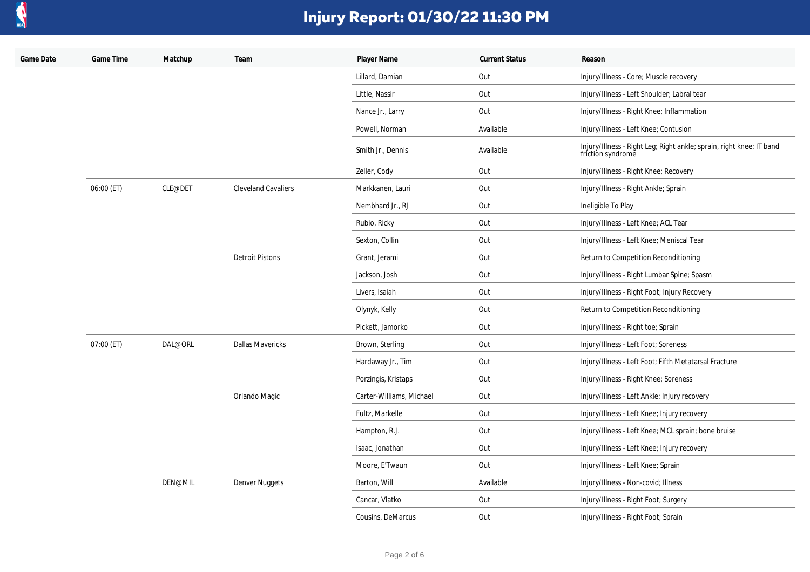

| Game Date | Game Time  | Matchup | Team                       | Player Name              | <b>Current Status</b> | Reason                                                                                    |
|-----------|------------|---------|----------------------------|--------------------------|-----------------------|-------------------------------------------------------------------------------------------|
|           |            |         |                            | Lillard, Damian          | Out                   | Injury/Illness - Core; Muscle recovery                                                    |
|           |            |         |                            | Little, Nassir           | Out                   | Injury/Illness - Left Shoulder; Labral tear                                               |
|           |            |         |                            | Nance Jr., Larry         | Out                   | Injury/Illness - Right Knee; Inflammation                                                 |
|           |            |         |                            | Powell, Norman           | Available             | Injury/Illness - Left Knee; Contusion                                                     |
|           |            |         |                            | Smith Jr., Dennis        | Available             | Injury/Illness - Right Leg; Right ankle; sprain, right knee; IT band<br>friction syndrome |
|           |            |         |                            | Zeller, Cody             | Out                   | Injury/Illness - Right Knee; Recovery                                                     |
|           | 06:00 (ET) | CLE@DET | <b>Cleveland Cavaliers</b> | Markkanen, Lauri         | Out                   | Injury/Illness - Right Ankle; Sprain                                                      |
|           |            |         |                            | Nembhard Jr., RJ         | Out                   | Ineligible To Play                                                                        |
|           |            |         |                            | Rubio, Ricky             | Out                   | Injury/Illness - Left Knee; ACL Tear                                                      |
|           |            |         |                            | Sexton, Collin           | Out                   | Injury/Illness - Left Knee; Meniscal Tear                                                 |
|           |            |         | <b>Detroit Pistons</b>     | Grant, Jerami            | Out                   | Return to Competition Reconditioning                                                      |
|           |            |         |                            | Jackson, Josh            | Out                   | Injury/Illness - Right Lumbar Spine; Spasm                                                |
|           |            |         |                            | Livers, Isaiah           | Out                   | Injury/Illness - Right Foot; Injury Recovery                                              |
|           |            |         |                            | Olynyk, Kelly            | Out                   | Return to Competition Reconditioning                                                      |
|           |            |         |                            | Pickett, Jamorko         | Out                   | Injury/Illness - Right toe; Sprain                                                        |
|           | 07:00 (ET) | DAL@ORL | <b>Dallas Mavericks</b>    | Brown, Sterling          | Out                   | Injury/Illness - Left Foot; Soreness                                                      |
|           |            |         |                            | Hardaway Jr., Tim        | Out                   | Injury/Illness - Left Foot; Fifth Metatarsal Fracture                                     |
|           |            |         |                            | Porzingis, Kristaps      | Out                   | Injury/Illness - Right Knee; Soreness                                                     |
|           |            |         | Orlando Magic              | Carter-Williams, Michael | Out                   | Injury/Illness - Left Ankle; Injury recovery                                              |
|           |            |         |                            | Fultz, Markelle          | Out                   | Injury/Illness - Left Knee; Injury recovery                                               |
|           |            |         |                            | Hampton, R.J.            | Out                   | Injury/Illness - Left Knee; MCL sprain; bone bruise                                       |
|           |            |         |                            | Isaac, Jonathan          | Out                   | Injury/Illness - Left Knee; Injury recovery                                               |
|           |            |         |                            | Moore, E'Twaun           | Out                   | Injury/Illness - Left Knee; Sprain                                                        |
|           |            | DEN@MIL | Denver Nuggets             | Barton, Will             | Available             | Injury/Illness - Non-covid; Illness                                                       |
|           |            |         |                            | Cancar, Vlatko           | Out                   | Injury/Illness - Right Foot; Surgery                                                      |
|           |            |         |                            | Cousins, DeMarcus        | Out                   | Injury/Illness - Right Foot; Sprain                                                       |
|           |            |         |                            |                          |                       |                                                                                           |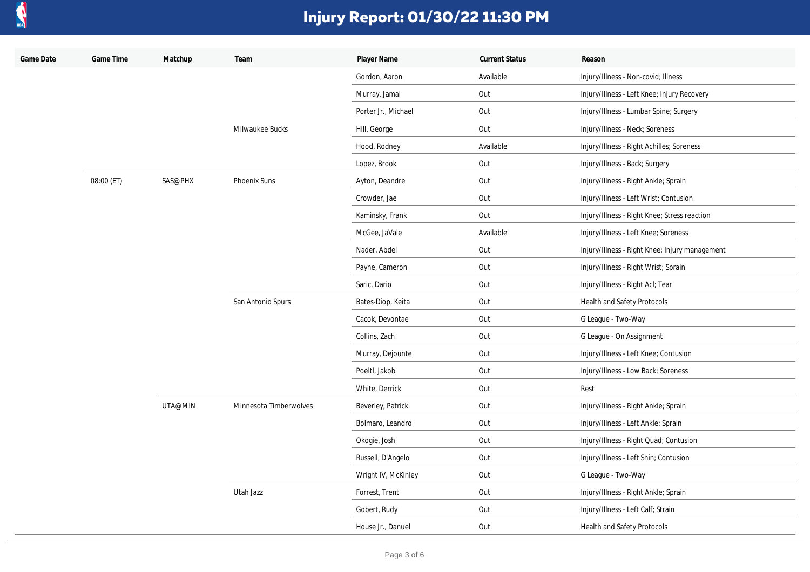

| Game Date | Game Time  | Matchup | Team                   | Player Name         | <b>Current Status</b> | Reason                                         |
|-----------|------------|---------|------------------------|---------------------|-----------------------|------------------------------------------------|
|           |            |         |                        | Gordon, Aaron       | Available             | Injury/Illness - Non-covid; Illness            |
|           |            |         |                        | Murray, Jamal       | Out                   | Injury/Illness - Left Knee; Injury Recovery    |
|           |            |         |                        | Porter Jr., Michael | Out                   | Injury/Illness - Lumbar Spine; Surgery         |
|           |            |         | Milwaukee Bucks        | Hill, George        | Out                   | Injury/Illness - Neck; Soreness                |
|           |            |         |                        | Hood, Rodney        | Available             | Injury/Illness - Right Achilles; Soreness      |
|           |            |         |                        | Lopez, Brook        | Out                   | Injury/Illness - Back; Surgery                 |
|           | 08:00 (ET) | SAS@PHX | Phoenix Suns           | Ayton, Deandre      | Out                   | Injury/Illness - Right Ankle; Sprain           |
|           |            |         |                        | Crowder, Jae        | Out                   | Injury/Illness - Left Wrist; Contusion         |
|           |            |         |                        | Kaminsky, Frank     | Out                   | Injury/Illness - Right Knee; Stress reaction   |
|           |            |         |                        | McGee, JaVale       | Available             | Injury/Illness - Left Knee; Soreness           |
|           |            |         |                        | Nader, Abdel        | Out                   | Injury/Illness - Right Knee; Injury management |
|           |            |         |                        | Payne, Cameron      | Out                   | Injury/Illness - Right Wrist; Sprain           |
|           |            |         |                        | Saric, Dario        | Out                   | Injury/Illness - Right Acl; Tear               |
|           |            |         | San Antonio Spurs      | Bates-Diop, Keita   | Out                   | Health and Safety Protocols                    |
|           |            |         |                        | Cacok, Devontae     | Out                   | G League - Two-Way                             |
|           |            |         |                        | Collins, Zach       | Out                   | G League - On Assignment                       |
|           |            |         |                        | Murray, Dejounte    | Out                   | Injury/Illness - Left Knee; Contusion          |
|           |            |         |                        | Poeltl, Jakob       | Out                   | Injury/Illness - Low Back; Soreness            |
|           |            |         |                        | White, Derrick      | Out                   | Rest                                           |
|           |            | UTA@MIN | Minnesota Timberwolves | Beverley, Patrick   | Out                   | Injury/Illness - Right Ankle; Sprain           |
|           |            |         |                        | Bolmaro, Leandro    | Out                   | Injury/Illness - Left Ankle; Sprain            |
|           |            |         |                        | Okogie, Josh        | Out                   | Injury/Illness - Right Quad; Contusion         |
|           |            |         |                        | Russell, D'Angelo   | Out                   | Injury/Illness - Left Shin; Contusion          |
|           |            |         |                        | Wright IV, McKinley | Out                   | G League - Two-Way                             |
|           |            |         | Utah Jazz              | Forrest, Trent      | Out                   | Injury/Illness - Right Ankle; Sprain           |
|           |            |         |                        | Gobert, Rudy        | Out                   | Injury/Illness - Left Calf; Strain             |
|           |            |         |                        | House Jr., Danuel   | Out                   | Health and Safety Protocols                    |
|           |            |         |                        |                     |                       |                                                |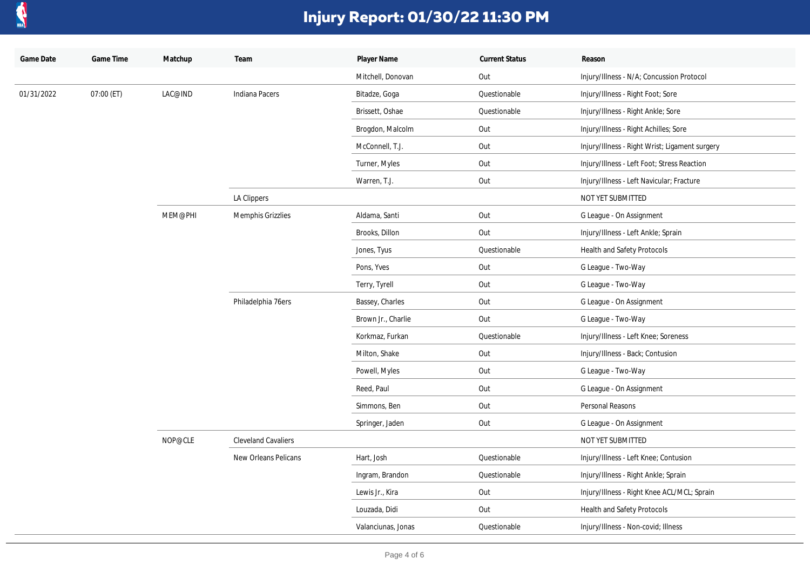

| Game Date  | Game Time  | Matchup | Team                       | Player Name        | <b>Current Status</b> | Reason                                         |
|------------|------------|---------|----------------------------|--------------------|-----------------------|------------------------------------------------|
|            |            |         |                            | Mitchell, Donovan  | Out                   | Injury/Illness - N/A; Concussion Protocol      |
| 01/31/2022 | 07:00 (ET) | LAC@IND | Indiana Pacers             | Bitadze, Goga      | Questionable          | Injury/Illness - Right Foot; Sore              |
|            |            |         |                            | Brissett, Oshae    | Questionable          | Injury/Illness - Right Ankle; Sore             |
|            |            |         |                            | Brogdon, Malcolm   | Out                   | Injury/Illness - Right Achilles; Sore          |
|            |            |         |                            | McConnell, T.J.    | Out                   | Injury/Illness - Right Wrist; Ligament surgery |
|            |            |         |                            | Turner, Myles      | Out                   | Injury/Illness - Left Foot; Stress Reaction    |
|            |            |         |                            | Warren, T.J.       | Out                   | Injury/Illness - Left Navicular; Fracture      |
|            |            |         | LA Clippers                |                    |                       | NOT YET SUBMITTED                              |
|            |            | MEM@PHI | Memphis Grizzlies          | Aldama, Santi      | Out                   | G League - On Assignment                       |
|            |            |         |                            | Brooks, Dillon     | Out                   | Injury/Illness - Left Ankle; Sprain            |
|            |            |         |                            | Jones, Tyus        | Questionable          | <b>Health and Safety Protocols</b>             |
|            |            |         |                            | Pons, Yves         | Out                   | G League - Two-Way                             |
|            |            |         |                            | Terry, Tyrell      | Out                   | G League - Two-Way                             |
|            |            |         | Philadelphia 76ers         | Bassey, Charles    | Out                   | G League - On Assignment                       |
|            |            |         |                            | Brown Jr., Charlie | Out                   | G League - Two-Way                             |
|            |            |         |                            | Korkmaz, Furkan    | Questionable          | Injury/Illness - Left Knee; Soreness           |
|            |            |         |                            | Milton, Shake      | Out                   | Injury/Illness - Back; Contusion               |
|            |            |         |                            | Powell, Myles      | Out                   | G League - Two-Way                             |
|            |            |         |                            | Reed, Paul         | Out                   | G League - On Assignment                       |
|            |            | NOP@CLE |                            | Simmons, Ben       | Out                   | Personal Reasons                               |
|            |            |         |                            | Springer, Jaden    | Out                   | G League - On Assignment                       |
|            |            |         | <b>Cleveland Cavaliers</b> |                    |                       | NOT YET SUBMITTED                              |
|            |            |         | New Orleans Pelicans       | Hart, Josh         | Questionable          | Injury/Illness - Left Knee; Contusion          |
|            |            |         |                            | Ingram, Brandon    | Questionable          | Injury/Illness - Right Ankle; Sprain           |
|            |            |         |                            | Lewis Jr., Kira    | Out                   | Injury/Illness - Right Knee ACL/MCL; Sprain    |
|            |            |         |                            | Louzada, Didi      | Out                   | Health and Safety Protocols                    |
|            |            |         |                            | Valanciunas, Jonas | Questionable          | Injury/Illness - Non-covid; Illness            |
|            |            |         |                            |                    |                       |                                                |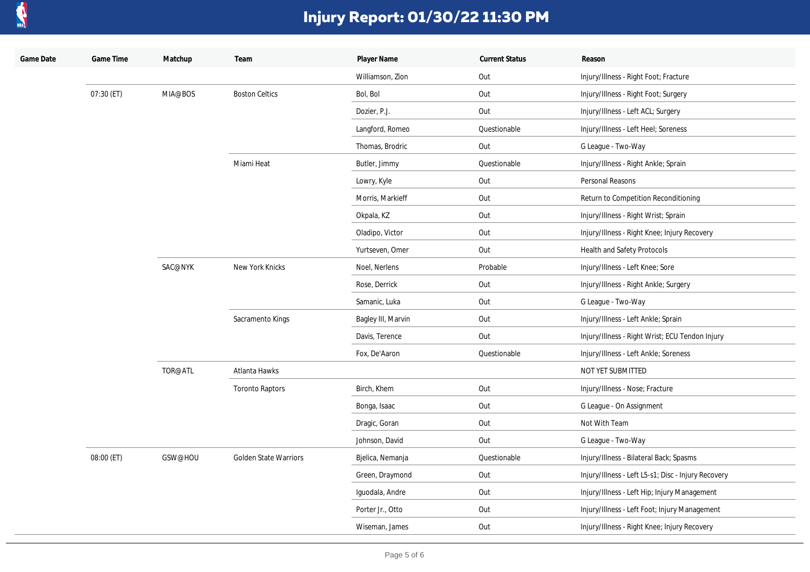

| Game Date | Game Time  | Matchup | Team                   | Player Name        | <b>Current Status</b> | Reason                                              |
|-----------|------------|---------|------------------------|--------------------|-----------------------|-----------------------------------------------------|
|           |            |         |                        | Williamson, Zion   | Out                   | Injury/Illness - Right Foot; Fracture               |
|           | 07:30 (ET) | MIA@BOS | <b>Boston Celtics</b>  | Bol, Bol           | Out                   | Injury/Illness - Right Foot; Surgery                |
|           |            |         |                        | Dozier, P.J.       | Out                   | Injury/Illness - Left ACL; Surgery                  |
|           |            |         |                        | Langford, Romeo    | Questionable          | Injury/Illness - Left Heel; Soreness                |
|           |            |         |                        | Thomas, Brodric    | Out                   | G League - Two-Way                                  |
|           |            |         | Miami Heat             | Butler, Jimmy      | Questionable          | Injury/Illness - Right Ankle; Sprain                |
|           |            |         |                        | Lowry, Kyle        | Out                   | Personal Reasons                                    |
|           |            |         |                        | Morris, Markieff   | Out                   | Return to Competition Reconditioning                |
|           |            |         |                        | Okpala, KZ         | Out                   | Injury/Illness - Right Wrist; Sprain                |
|           |            |         |                        | Oladipo, Victor    | Out                   | Injury/Illness - Right Knee; Injury Recovery        |
|           |            |         |                        | Yurtseven, Omer    | Out                   | Health and Safety Protocols                         |
|           |            | SAC@NYK | New York Knicks        | Noel, Nerlens      | Probable              | Injury/Illness - Left Knee; Sore                    |
|           |            |         |                        | Rose, Derrick      | Out                   | Injury/Illness - Right Ankle; Surgery               |
|           |            |         |                        | Samanic, Luka      | Out                   | G League - Two-Way                                  |
|           |            |         | Sacramento Kings       | Bagley III, Marvin | Out                   | Injury/Illness - Left Ankle; Sprain                 |
|           |            |         |                        | Davis, Terence     | Out                   | Injury/Illness - Right Wrist; ECU Tendon Injury     |
|           |            |         |                        | Fox, De'Aaron      | Questionable          | Injury/Illness - Left Ankle; Soreness               |
|           |            | TOR@ATL | Atlanta Hawks          |                    |                       | NOT YET SUBMITTED                                   |
|           |            |         | <b>Toronto Raptors</b> | Birch, Khem        | Out                   | Injury/Illness - Nose; Fracture                     |
|           |            |         |                        | Bonga, Isaac       | Out                   | G League - On Assignment                            |
|           |            |         |                        | Dragic, Goran      | Out                   | Not With Team                                       |
|           |            |         |                        | Johnson, David     | Out                   | G League - Two-Way                                  |
|           | 08:00 (ET) | GSW@HOU | Golden State Warriors  | Bjelica, Nemanja   | Questionable          | Injury/Illness - Bilateral Back; Spasms             |
|           |            |         |                        | Green, Draymond    | Out                   | Injury/Illness - Left L5-s1; Disc - Injury Recovery |
|           |            |         |                        | Iguodala, Andre    | Out                   | Injury/Illness - Left Hip; Injury Management        |
|           |            |         |                        | Porter Jr., Otto   | Out                   | Injury/Illness - Left Foot; Injury Management       |
|           |            |         |                        | Wiseman, James     | Out                   | Injury/Illness - Right Knee; Injury Recovery        |
|           |            |         |                        |                    |                       |                                                     |